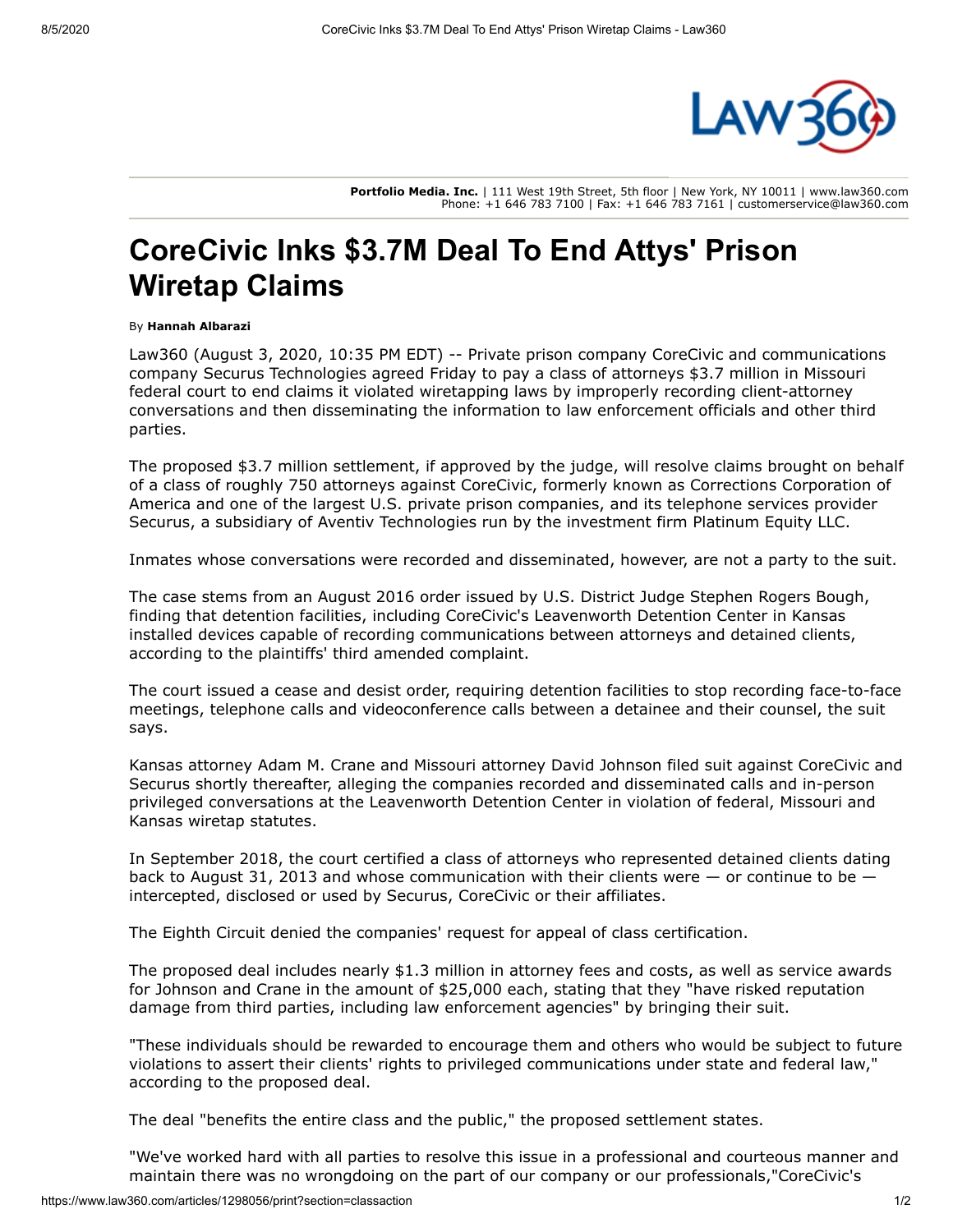

**Portfolio Media. Inc.** | 111 West 19th Street, 5th floor | New York, NY 10011 | www.law360.com Phone: +1 646 783 7100 | Fax: +1 646 783 7161 | customerservice@law360.com

## **CoreCivic Inks \$3.7M Deal To End Attys' Prison Wiretap Claims**

## By **Hannah Albarazi**

Law360 (August 3, 2020, 10:35 PM EDT) -- Private prison company [CoreCivic](https://www.law360.com/companies/corecivic-inc) and communications company [Securus Technologies](https://www.law360.com/companies/securus-technologies-inc) agreed Friday to pay a class of attorneys \$3.7 million in Missouri federal court to end claims it violated wiretapping laws by improperly recording client-attorney conversations and then disseminating the information to law enforcement officials and other third parties.

The proposed \$3.7 million settlement, if approved by the judge, will resolve claims brought on behalf [of a class of roughly 750 attorneys against CoreCivic, formerly known as Corrections Corporation of](https://www.law360.com/companies/corrections-corporation-of-america) America and one of the largest U.S. private prison companies, and its telephone services provider Securus, a subsidiary of Aventiv Technologies run by the investment firm [Platinum Equity LLC](https://www.law360.com/companies/platinum-equity-llc).

Inmates whose conversations were recorded and disseminated, however, are not a party to the suit.

The case stems from an August 2016 order issued by U.S. District Judge Stephen Rogers Bough, finding that detention facilities, including CoreCivic's Leavenworth Detention Center in Kansas installed devices capable of recording communications between attorneys and detained clients, according to the plaintiffs' third amended complaint.

The court issued a cease and desist order, requiring detention facilities to stop recording face-to-face meetings, telephone calls and videoconference calls between a detainee and their counsel, the suit says.

Kansas attorney Adam M. Crane and Missouri attorney David Johnson filed suit against CoreCivic and Securus shortly thereafter, alleging the companies recorded and disseminated calls and in-person privileged conversations at the Leavenworth Detention Center in violation of federal, Missouri and Kansas wiretap statutes.

In September 2018, the court certified a class of attorneys who represented detained clients dating back to August 31, 2013 and whose communication with their clients were  $-$  or continue to be  $$ intercepted, disclosed or used by Securus, CoreCivic or their affiliates.

The Eighth Circuit denied the companies' request for appeal of class certification.

The proposed deal includes nearly \$1.3 million in attorney fees and costs, as well as service awards for Johnson and Crane in the amount of \$25,000 each, stating that they "have risked reputation damage from third parties, including law enforcement agencies" by bringing their suit.

"These individuals should be rewarded to encourage them and others who would be subject to future violations to assert their clients' rights to privileged communications under state and federal law," according to the proposed deal.

The deal "benefits the entire class and the public," the proposed settlement states.

"We've worked hard with all parties to resolve this issue in a professional and courteous manner and maintain there was no wrongdoing on the part of our company or our professionals,"CoreCivic's